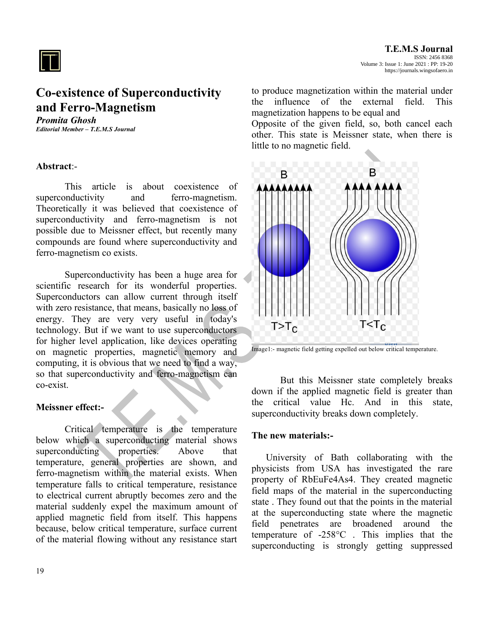

# **Co-existence of Superconductivity and Ferro-Magnetism**

*Promita Ghosh Editorial Member – T.E.M.S Journal*

### **Abstract**:-

This article is about coexistence of superconductivity and ferro-magnetism. Theoretically it was believed that coexistence of superconductivity and ferro-magnetism is not possible due to Meissner effect, but recently many compounds are found where superconductivity and ferro-magnetism co exists.

Superconductivity has been a huge area for scientific research for its wonderful properties. Superconductors can allow current through itself with zero resistance, that means, basically no loss of energy. They are very very useful in today's technology. But if we want to use superconductors for higher level application, like devices operating on magnetic properties, magnetic memory and computing, it is obvious that we need to find a way, so that superconductivity and ferro-magnetism can co-exist.

## **Meissner effect:-**

Critical temperature is the temperature below which a superconducting material shows superconducting properties. Above that temperature, general properties are shown, and ferro-magnetism within the material exists. When temperature falls to critical temperature, resistance to electrical current abruptly becomes zero and the material suddenly expel the maximum amount of applied magnetic field from itself. This happens because, below critical temperature, surface current of the material flowing without any resistance start to produce magnetization within the material under the influence of the external field. This magnetization happens to be equal and

Opposite of the given field, so, both cancel each other. This state is Meissner state, when there is little to no magnetic field.





But this Meissner state completely breaks down if the applied magnetic field is greater than the critical value Hc. And in this state, superconductivity breaks down completely.

#### **The new materials:-**

University of Bath collaborating with the physicists from USA has investigated the rare property of RbEuFe4As4. They created magnetic field maps of the material in the superconducting state . They found out that the points in the material at the superconducting state where the magnetic field penetrates are broadened around the temperature of -258°C . This implies that the superconducting is strongly getting suppressed